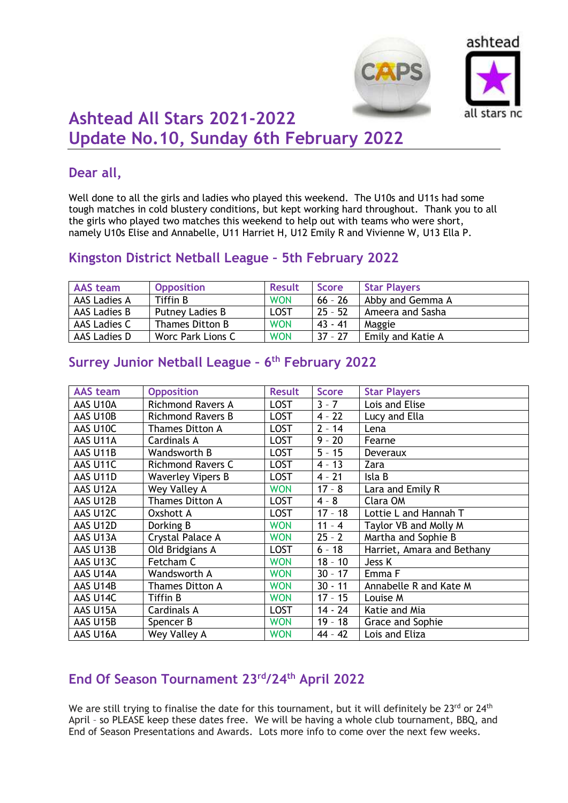



# **Ashtead All Stars 2021-2022 Update No.10, Sunday 6th February 2022**

## **Dear all,**

Well done to all the girls and ladies who played this weekend. The U10s and U11s had some tough matches in cold blustery conditions, but kept working hard throughout. Thank you to all the girls who played two matches this weekend to help out with teams who were short, namely U10s Elise and Annabelle, U11 Harriet H, U12 Emily R and Vivienne W, U13 Ella P.

## **Kingston District Netball League – 5th February 2022**

| <b>AAS</b> team | <b>Opposition</b> | <b>Result</b> | <b>Score</b> | <b>Star Players</b> |
|-----------------|-------------------|---------------|--------------|---------------------|
| AAS Ladies A    | Tiffin B          | <b>WON</b>    | $66 - 26$    | Abby and Gemma A    |
| AAS Ladies B    | Putney Ladies B   | <b>LOST</b>   | $25 - 52$    | Ameera and Sasha    |
| AAS Ladies C    | Thames Ditton B   | <b>WON</b>    | 43 - 41      | Maggie              |
| AAS Ladies D    | Worc Park Lions C | <b>WON</b>    | $37 - 27$    | Emily and Katie A   |

#### **AAS team Opposition Result Score Star Players** AAS U10A Richmond Ravers A LOST 3 - 7 Lois and Elise AAS U10B Richmond Ravers B LOST 4 - 22 Lucy and Ella AAS U10C Thames Ditton A LOST 2 - 14 Lena AAS U11A | Cardinals A | LOST | 9 - 20 | Fearne AAS U11B Wandsworth B LOST 5 - 15 Deveraux AAS U11C Richmond Ravers C LOST 4 - 13 Zara AAS U11D Waverley Vipers B LOST 4 - 21 Isla B AAS U12A Wey Valley A WON 17 – 8 Lara and Emily R AAS U12B Thames Ditton A LOST 4 - 8 Clara OM AAS U12C | Oxshott A | LOST | 17 - 18 | Lottie L and Hannah T AAS U12D Dorking B WON 11 - 4 Taylor VB and Molly M AAS U13A Crystal Palace A WON 25 - 2 | Martha and Sophie B AAS U13B | Old Bridgians A | LOST | 6 - 18 | Harriet, Amara and Bethany AAS U13C Fetcham C WON 18 – 10 Jess K AAS U14A Wandsworth A WON 30 - 17 Emma F AAS U14B Thames Ditton A WON 30 - 11 Annabelle R and Kate M AAS U14C Tiffin B WON 17 - 15 Louise M AAS U15A Cardinals A LOST 14 - 24 Katie and Mia

AAS U15B Spencer B WON 19 – 18 Grace and Sophie AAS U16A Wey Valley A WON 44 - 42 Lois and Eliza

## **Surrey Junior Netball League – 6 th February 2022**

## **End Of Season Tournament 23rd/24th April 2022**

We are still trying to finalise the date for this tournament, but it will definitely be 23<sup>rd</sup> or 24<sup>th</sup> April – so PLEASE keep these dates free. We will be having a whole club tournament, BBQ, and End of Season Presentations and Awards. Lots more info to come over the next few weeks.